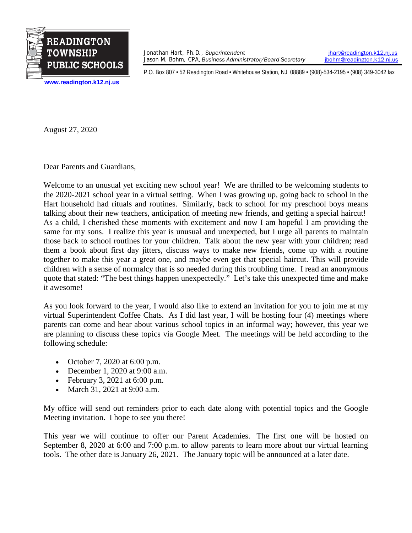

Jonathan Hart, Ph.D., *Superintendent* [jhart@readington.k12.nj.us](mailto:jhart@readington.k12.nj.us) Jason M. Bohm, CPA, *Business Administrator/Board Secretary ibohm@readington.k12.nj.us* 

P.O. Box 807 • 52 Readington Road • Whitehouse Station, NJ 08889 • (908)-534-2195 • (908) 349-3042 fax

**[www.readington.k12.nj.us](http://www.readington.k12.nj.us/)**

August 27, 2020

Dear Parents and Guardians,

Welcome to an unusual yet exciting new school year! We are thrilled to be welcoming students to the 2020-2021 school year in a virtual setting. When I was growing up, going back to school in the Hart household had rituals and routines. Similarly, back to school for my preschool boys means talking about their new teachers, anticipation of meeting new friends, and getting a special haircut! As a child, I cherished these moments with excitement and now I am hopeful I am providing the same for my sons. I realize this year is unusual and unexpected, but I urge all parents to maintain those back to school routines for your children. Talk about the new year with your children; read them a book about first day jitters, discuss ways to make new friends, come up with a routine together to make this year a great one, and maybe even get that special haircut. This will provide children with a sense of normalcy that is so needed during this troubling time. I read an anonymous quote that stated: "The best things happen unexpectedly." Let's take this unexpected time and make it awesome!

As you look forward to the year, I would also like to extend an invitation for you to join me at my virtual Superintendent Coffee Chats. As I did last year, I will be hosting four (4) meetings where parents can come and hear about various school topics in an informal way; however, this year we are planning to discuss these topics via Google Meet. The meetings will be held according to the following schedule:

- October 7, 2020 at 6:00 p.m.
- December 1, 2020 at 9:00 a.m.
- February 3, 2021 at 6:00 p.m.
- March 31, 2021 at 9:00 a.m.

My office will send out reminders prior to each date along with potential topics and the Google Meeting invitation. I hope to see you there!

This year we will continue to offer our Parent Academies. The first one will be hosted on September 8, 2020 at 6:00 and 7:00 p.m. to allow parents to learn more about our virtual learning tools. The other date is January 26, 2021. The January topic will be announced at a later date.